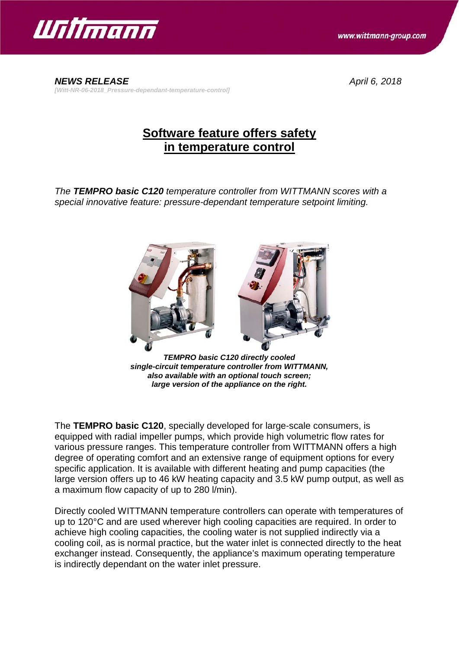

www.wittmann-group.com

*NEWS RELEASE April 6, 2018 [Witt-NR-06-2018\_Pressure-dependant-temperature-control]*

## **Software feature offers safety in temperature control**

*The TEMPRO basic C120 temperature controller from WITTMANN scores with a special innovative feature: pressure-dependant temperature setpoint limiting.*



*TEMPRO basic C120 directly cooled single-circuit temperature controller from WITTMANN, also available with an optional touch screen; large version of the appliance on the right.*

The **TEMPRO basic C120**, specially developed for large-scale consumers, is equipped with radial impeller pumps, which provide high volumetric flow rates for various pressure ranges. This temperature controller from WITTMANN offers a high degree of operating comfort and an extensive range of equipment options for every specific application. It is available with different heating and pump capacities (the large version offers up to 46 kW heating capacity and 3.5 kW pump output, as well as a maximum flow capacity of up to 280 l/min).

Directly cooled WITTMANN temperature controllers can operate with temperatures of up to 120°C and are used wherever high cooling capacities are required. In order to achieve high cooling capacities, the cooling water is not supplied indirectly via a cooling coil, as is normal practice, but the water inlet is connected directly to the heat exchanger instead. Consequently, the appliance's maximum operating temperature is indirectly dependant on the water inlet pressure.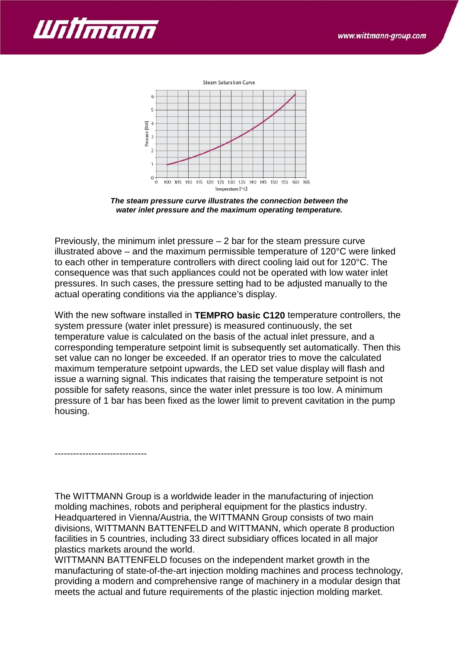



*The steam pressure curve illustrates the connection between the water inlet pressure and the maximum operating temperature.*

Previously, the minimum inlet pressure – 2 bar for the steam pressure curve illustrated above – and the maximum permissible temperature of 120°C were linked to each other in temperature controllers with direct cooling laid out for 120°C. The consequence was that such appliances could not be operated with low water inlet pressures. In such cases, the pressure setting had to be adjusted manually to the actual operating conditions via the appliance's display.

With the new software installed in **TEMPRO basic C120** temperature controllers, the system pressure (water inlet pressure) is measured continuously, the set temperature value is calculated on the basis of the actual inlet pressure, and a corresponding temperature setpoint limit is subsequently set automatically. Then this set value can no longer be exceeded. If an operator tries to move the calculated maximum temperature setpoint upwards, the LED set value display will flash and issue a warning signal. This indicates that raising the temperature setpoint is not possible for safety reasons, since the water inlet pressure is too low. A minimum pressure of 1 bar has been fixed as the lower limit to prevent cavitation in the pump housing.

------------------------------

The WITTMANN Group is a worldwide leader in the manufacturing of injection molding machines, robots and peripheral equipment for the plastics industry. Headquartered in Vienna/Austria, the WITTMANN Group consists of two main divisions, WITTMANN BATTENFELD and WITTMANN, which operate 8 production facilities in 5 countries, including 33 direct subsidiary offices located in all major plastics markets around the world.

WITTMANN BATTENFELD focuses on the independent market growth in the manufacturing of state-of-the-art injection molding machines and process technology, providing a modern and comprehensive range of machinery in a modular design that meets the actual and future requirements of the plastic injection molding market.